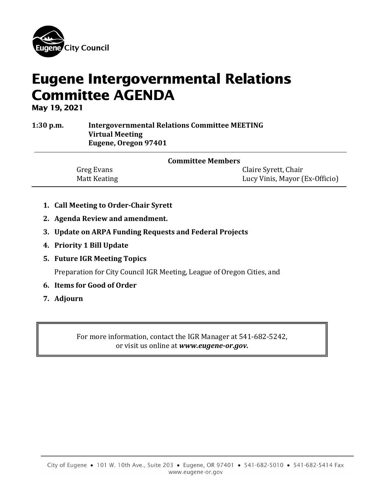

# Eugene Intergovernmental Relations Committee AGENDA

May 19, 2021

**1:30 p.m. Intergovernmental Relations Committee MEETING Virtual Meeting Eugene, Oregon 97401**

| <b>Committee Members</b> |                                |
|--------------------------|--------------------------------|
| Greg Evans               | Claire Syrett, Chair           |
| Matt Keating             | Lucy Vinis, Mayor (Ex-Officio) |

- **1. Call Meeting to Order-Chair Syrett**
- **2. Agenda Review and amendment.**
- **3. Update on ARPA Funding Requests and Federal Projects**
- **4. Priority 1 Bill Update**
- **5. Future IGR Meeting Topics**

Preparation for City Council IGR Meeting, League of Oregon Cities, and

- **6. Items for Good of Order**
- **7. Adjourn**

For more information, contact the IGR Manager at 541-682-5242, or visit us online at *www.eugene-or.gov.*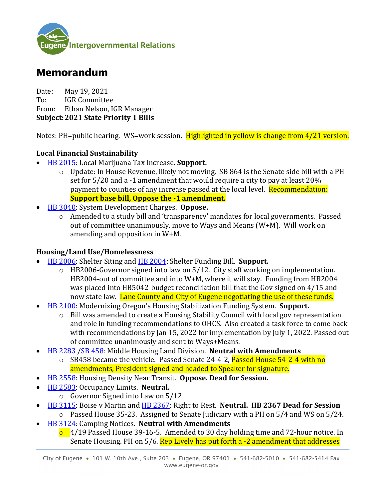

# Memorandum

Date: May 19, 2021<br>To: IGR Committe **IGR Committee** From: Ethan Nelson, IGR Manager **Subject:2021 State Priority 1 Bills**

Notes: PH=public hearing. WS=work session. Highlighted in yellow is change from 4/21 version.

# **Local Financial Sustainability**

- [HB 2015:](https://olis.oregonlegislature.gov/liz/2021R1/Measures/Overview/HB2015) Local Marijuana Tax Increase. **Support.** 
	- $\circ$  Update: In House Revenue, likely not moving. SB 864 is the Senate side bill with a PH set for 5/20 and a -1 amendment that would require a city to pay at least 20% payment to counties of any increase passed at the local level. Recommendation: **Support base bill, Oppose the -1 amendment.**
- [HB 3040:](https://olis.oregonlegislature.gov/liz/2021R1/Measures/Overview/HB3040) System Development Charges. **Oppose.**
	- o Amended to a study bill and 'transparency' mandates for local governments. Passed out of committee unanimously, move to Ways and Means (W+M). Will work on amending and opposition in W+M.

### **Housing/Land Use/Homelessness**

- [HB 2006:](https://olis.oregonlegislature.gov/liz/2021R1/Measures/Overview/HB2006) Shelter Siting and [HB 2004:](https://olis.oregonlegislature.gov/liz/2021R1/Measures/Overview/HB2004) Shelter Funding Bill. **Support.**
	- o HB2006-Governor signed into law on 5/12. City staff working on implementation. HB2004-out of committee and into W+M, where it will stay. Funding from HB2004 was placed into HB5042-budget reconciliation bill that the Gov signed on 4/15 and now state law. Lane County and City of Eugene negotiating the use of these funds.
- [HB 2100:](https://olis.oregonlegislature.gov/liz/2021R1/Measures/Overview/HB2100) Modernizing Oregon's Housing Stabilization Funding System. **Support.** 
	- o Bill was amended to create a Housing Stability Council with local gov representation and role in funding recommendations to OHCS. Also created a task force to come back with recommendations by Jan 15, 2022 for implementation by July 1, 2022. Passed out of committee unanimously and sent to Ways+Means.
- [HB 2283](https://olis.oregonlegislature.gov/liz/2021R1/Measures/Overview/HB2283) [/SB 458:](https://olis.oregonlegislature.gov/liz/2021R1/Measures/Overview/SB458) Middle Housing Land Division. **Neutral with Amendments**
	- o SB458 became the vehicle. Passed Senate 24-4-2, Passed House 54-2-4 with no amendments, President signed and headed to Speaker for signature.
- [HB 2558:](https://olis.oregonlegislature.gov/liz/2021R1/Measures/Overview/HB2558) Housing Density Near Transit. **Oppose. Dead for Session.**
- [HB 2583:](https://olis.oregonlegislature.gov/liz/2021R1/Measures/Overview/HB2583) Occupancy Limits. **Neutral.** 
	- o Governor Signed into Law on 5/12
- [HB 3115:](https://olis.oregonlegislature.gov/liz/2021R1/Measures/Overview/HB3115) Boise v Martin and [HB 2367:](https://olis.oregonlegislature.gov/liz/2021R1/Measures/Overview/HB2367) Right to Rest. **Neutral. HB 2367 Dead for Session** o Passed House 35-23. Assigned to Senate Judiciary with a PH on 5/4 and WS on 5/24.
- [HB 3124:](https://olis.oregonlegislature.gov/liz/2021R1/Measures/Overview/HB3124) Camping Notices. **Neutral with Amendments**

 $\sigma$  4/19 Passed House 39-16-5. Amended to 30 day holding time and 72-hour notice. In Senate Housing. PH on 5/6. Rep Lively has put forth a -2 amendment that addresses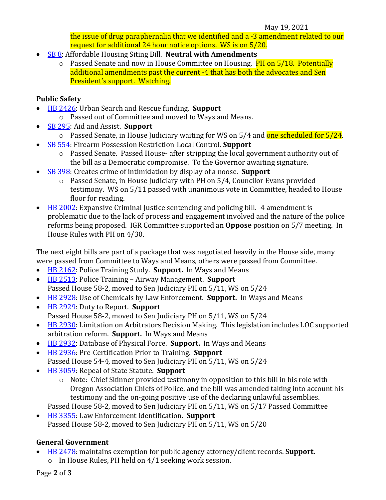#### May 19, 2021

the issue of drug paraphernalia that we identified and a -3 amendment related to our request for additional 24 hour notice options. WS is on 5/20.

- [SB 8:](https://olis.oregonlegislature.gov/liz/2021R1/Measures/Overview/SB8) Affordable Housing Siting Bill. **Neutral with Amendments**
	- o Passed Senate and now in House Committee on Housing. **PH on 5/18. Potentially** additional amendments past the current -4 that has both the advocates and Sen President's support. Watching.

## **Public Safety**

- [HB 2426:](https://olis.oregonlegislature.gov/liz/2021R1/Measures/Overview/HB2426) Urban Search and Rescue funding. **Support**
	- o Passed out of Committee and moved to Ways and Means.
- [SB 295:](https://olis.oregonlegislature.gov/liz/2021R1/Measures/Overview/SB295) Aid and Assist. **Support**
	- $\circ$  Passed Senate, in House Judiciary waiting for WS on 5/4 and one scheduled for 5/24.
- [SB 554:](https://olis.oregonlegislature.gov/liz/2021R1/Measures/Overview/SB554) Firearm Possession Restriction-Local Control. **Support**
	- o Passed Senate. Passed House- after stripping the local government authority out of the bill as a Democratic compromise. To the Governor awaiting signature.
- [SB 398:](https://olis.oregonlegislature.gov/liz/2021R1/Measures/Overview/SB398) Creates crime of intimidation by display of a noose. **Support**
	- o Passed Senate, in House Judiciary with PH on 5/4, Councilor Evans provided testimony. WS on 5/11 passed with unanimous vote in Committee, headed to House floor for reading.
- [HB 2002:](https://olis.oregonlegislature.gov/liz/2021R1/Measures/Overview/HB2002) Expansive Criminal Justice sentencing and policing bill. -4 amendment is problematic due to the lack of process and engagement involved and the nature of the police reforms being proposed. IGR Committee supported an **Oppose** position on 5/7 meeting. In House Rules with PH on 4/30.

The next eight bills are part of a package that was negotiated heavily in the House side, many were passed from Committee to Ways and Means, others were passed from Committee.

- [HB 2162:](https://gcc02.safelinks.protection.outlook.com/?url=https%3A%2F%2Folis.leg.state.or.us%2Fliz%2F2021R1%2FMeasures%2FOverview%2FHB2162&data=04%7C01%7CENelson%40eugene-or.gov%7C06865cf73f3a4166187808d9047bd542%7C0c0d3453aa1d41bc8aa35c843d4ca0e8%7C0%7C0%7C637545752183700042%7CUnknown%7CTWFpbGZsb3d8eyJWIjoiMC4wLjAwMDAiLCJQIjoiV2luMzIiLCJBTiI6Ik1haWwiLCJXVCI6Mn0%3D%7C1000&sdata=CHg0adNVtGTmUeaEVi3CML5kInhiSmjtkaSSpzlThoc%3D&reserved=0) Police Training Study. **Support.** In Ways and Means
- [HB 2513:](https://gcc02.safelinks.protection.outlook.com/?url=https%3A%2F%2Folis.leg.state.or.us%2Fliz%2F2021R1%2FMeasures%2FOverview%2FHB2513&data=04%7C01%7CENelson%40eugene-or.gov%7C06865cf73f3a4166187808d9047bd542%7C0c0d3453aa1d41bc8aa35c843d4ca0e8%7C0%7C0%7C637545752183705020%7CUnknown%7CTWFpbGZsb3d8eyJWIjoiMC4wLjAwMDAiLCJQIjoiV2luMzIiLCJBTiI6Ik1haWwiLCJXVCI6Mn0%3D%7C1000&sdata=izjyAJNWpX7wXe%2FbaG31K7IELVMs3ZsWWAaw7aLEJg0%3D&reserved=0) Police Training Airway Management. **Support** Passed House 58-2, moved to Sen Judiciary PH on 5/11, WS on 5/24
- [HB 2928:](https://gcc02.safelinks.protection.outlook.com/?url=https%3A%2F%2Folis.leg.state.or.us%2Fliz%2F2021R1%2FMeasures%2FOverview%2FHB2928&data=04%7C01%7CENelson%40eugene-or.gov%7C06865cf73f3a4166187808d9047bd542%7C0c0d3453aa1d41bc8aa35c843d4ca0e8%7C0%7C0%7C637545752183709997%7CUnknown%7CTWFpbGZsb3d8eyJWIjoiMC4wLjAwMDAiLCJQIjoiV2luMzIiLCJBTiI6Ik1haWwiLCJXVCI6Mn0%3D%7C1000&sdata=rkw7cAJb7C01nQyx5xMTWxOTKeDujboXzWX24%2BxkoMM%3D&reserved=0) Use of Chemicals by Law Enforcement. **Support.** In Ways and Means
- [HB 2929:](https://gcc02.safelinks.protection.outlook.com/?url=https%3A%2F%2Folis.leg.state.or.us%2Fliz%2F2021R1%2FMeasures%2FOverview%2FHB2929&data=04%7C01%7CENelson%40eugene-or.gov%7C06865cf73f3a4166187808d9047bd542%7C0c0d3453aa1d41bc8aa35c843d4ca0e8%7C0%7C0%7C637545752183714989%7CUnknown%7CTWFpbGZsb3d8eyJWIjoiMC4wLjAwMDAiLCJQIjoiV2luMzIiLCJBTiI6Ik1haWwiLCJXVCI6Mn0%3D%7C1000&sdata=pYFcNgpd6ZfJADDWq%2FEp%2BYcDqcFBDy4MhTZlOXlDy3Y%3D&reserved=0) Duty to Report. **Support** Passed House 58-2, moved to Sen Judiciary PH on 5/11, WS on 5/24
- [HB 2930:](https://gcc02.safelinks.protection.outlook.com/?url=https%3A%2F%2Folis.leg.state.or.us%2Fliz%2F2021R1%2FMeasures%2FOverview%2FHB2930&data=04%7C01%7CENelson%40eugene-or.gov%7C06865cf73f3a4166187808d9047bd542%7C0c0d3453aa1d41bc8aa35c843d4ca0e8%7C0%7C0%7C637545752183719957%7CUnknown%7CTWFpbGZsb3d8eyJWIjoiMC4wLjAwMDAiLCJQIjoiV2luMzIiLCJBTiI6Ik1haWwiLCJXVCI6Mn0%3D%7C1000&sdata=oKDlHO2xg8DI86w37gQROm3NYeL6EALyr5Hm8c4xy2w%3D&reserved=0) Limitation on Arbitrators Decision Making. This legislation includes LOC supported arbitration reform. **Support.** In Ways and Means
- [HB 2932:](https://gcc02.safelinks.protection.outlook.com/?url=https%3A%2F%2Folis.leg.state.or.us%2Fliz%2F2021R1%2FMeasures%2FOverview%2FHB2932&data=04%7C01%7CENelson%40eugene-or.gov%7C06865cf73f3a4166187808d9047bd542%7C0c0d3453aa1d41bc8aa35c843d4ca0e8%7C0%7C0%7C637545752183724933%7CUnknown%7CTWFpbGZsb3d8eyJWIjoiMC4wLjAwMDAiLCJQIjoiV2luMzIiLCJBTiI6Ik1haWwiLCJXVCI6Mn0%3D%7C1000&sdata=Jfd%2FLAXdn5prEns3cpxDYzzYcpFqC9iTqOytFSN%2FGTY%3D&reserved=0) Database of Physical Force. **Support.** In Ways and Means
- [HB 2936:](https://gcc02.safelinks.protection.outlook.com/?url=https%3A%2F%2Folis.leg.state.or.us%2Fliz%2F2021R1%2FMeasures%2FOverview%2FHB2936&data=04%7C01%7CENelson%40eugene-or.gov%7C06865cf73f3a4166187808d9047bd542%7C0c0d3453aa1d41bc8aa35c843d4ca0e8%7C0%7C0%7C637545752183729911%7CUnknown%7CTWFpbGZsb3d8eyJWIjoiMC4wLjAwMDAiLCJQIjoiV2luMzIiLCJBTiI6Ik1haWwiLCJXVCI6Mn0%3D%7C1000&sdata=TpWbnHofiB%2B%2BR41Y3%2FFJhC1IJLJqQmBQBCT%2BbprSGo4%3D&reserved=0) Pre-Certification Prior to Training. **Support** Passed House 54-4, moved to Sen Judiciary PH on 5/11, WS on 5/24
- [HB 3059:](https://gcc02.safelinks.protection.outlook.com/?url=https%3A%2F%2Folis.leg.state.or.us%2Fliz%2F2021R1%2FMeasures%2FOverview%2FHB3059&data=04%7C01%7CENelson%40eugene-or.gov%7C06865cf73f3a4166187808d9047bd542%7C0c0d3453aa1d41bc8aa35c843d4ca0e8%7C0%7C0%7C637545752183734899%7CUnknown%7CTWFpbGZsb3d8eyJWIjoiMC4wLjAwMDAiLCJQIjoiV2luMzIiLCJBTiI6Ik1haWwiLCJXVCI6Mn0%3D%7C1000&sdata=6vkTkGLRWCv5ilgtlGq3uj1%2BJ8A8Vlt1F8bMhXR5V0c%3D&reserved=0) Repeal of State Statute. **Support**
	- o Note: Chief Skinner provided testimony in opposition to this bill in his role with Oregon Association Chiefs of Police, and the bill was amended taking into account his testimony and the on-going positive use of the declaring unlawful assemblies.
	- Passed House 58-2, moved to Sen Judiciary PH on 5/11, WS on 5/17 Passed Committee
- [HB 3355:](https://gcc02.safelinks.protection.outlook.com/?url=https%3A%2F%2Folis.leg.state.or.us%2Fliz%2F2021R1%2FMeasures%2FOverview%2FHB3355&data=04%7C01%7CENelson%40eugene-or.gov%7C06865cf73f3a4166187808d9047bd542%7C0c0d3453aa1d41bc8aa35c843d4ca0e8%7C0%7C0%7C637545752183739878%7CUnknown%7CTWFpbGZsb3d8eyJWIjoiMC4wLjAwMDAiLCJQIjoiV2luMzIiLCJBTiI6Ik1haWwiLCJXVCI6Mn0%3D%7C1000&sdata=DA7akx3lhfyIUNVMkWQ2gQekhJOJrNkajukrhF9Qit4%3D&reserved=0) Law Enforcement Identification. **Support** Passed House 58-2, moved to Sen Judiciary PH on 5/11, WS on 5/20

# **General Government**

- [HB 2478:](https://olis.oregonlegislature.gov/liz/2021R1/Measures/Overview/HB2478) maintains exemption for public agency attorney/client records. **Support.**
	- o In House Rules, PH held on 4/1 seeking work session.